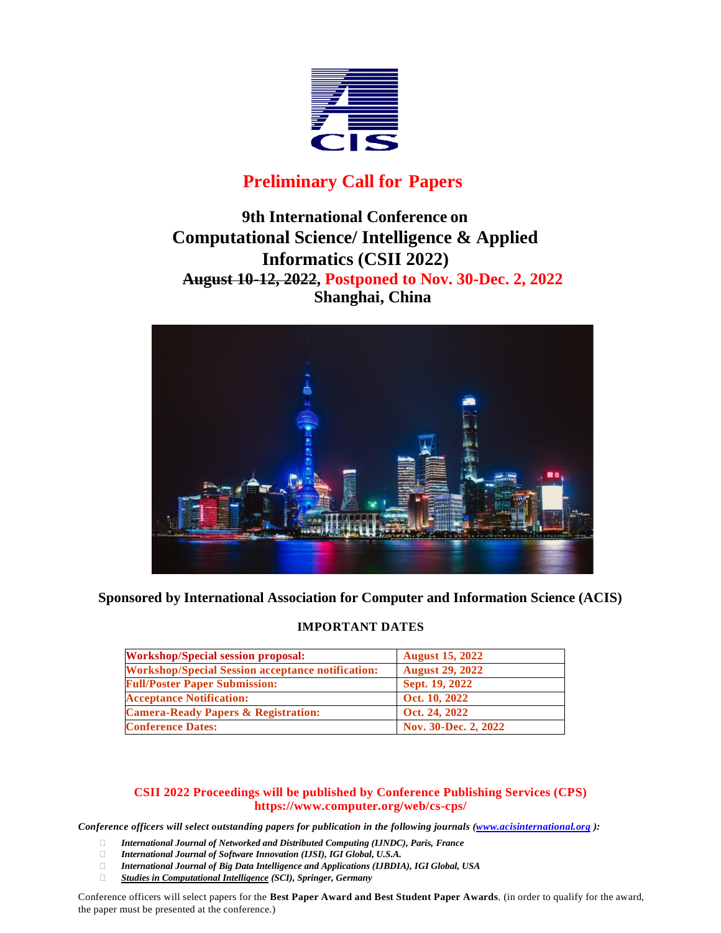

# **Preliminary Call for Papers**

# **9th International Conference on Computational Science/ Intelligence & Applied Informatics (CSII 2022) August 10-12, 2022, Postponed to Nov. 30-Dec. 2, 2022 Shanghai, China**



**Sponsored by International Association for Computer and Information Science (ACIS)**

## **IMPORTANT DATES**

| <b>Workshop/Special session proposal:</b>                | <b>August 15, 2022</b> |
|----------------------------------------------------------|------------------------|
| <b>Workshop/Special Session acceptance notification:</b> | <b>August 29, 2022</b> |
| <b>Full/Poster Paper Submission:</b>                     | Sept. 19, 2022         |
| <b>Acceptance Notification:</b>                          | Oct. 10, 2022          |
| <b>Camera-Ready Papers &amp; Registration:</b>           | Oct. 24, 2022          |
| <b>Conference Dates:</b>                                 | Nov. 30-Dec. 2, 2022   |

## **CSII 2022 Proceedings will be published by Conference Publishing Services (CPS) [https://www.computer.org/web/cs-cps/](http://www.computer.org/web/cs-cps/)**

.<br>Conference officers will select outstanding papers for publication in the following journals (<u>www.acisinternational.org</u>):

- *International Journal of Networked and Distributed Computing (IJNDC), Paris, France*
- *International Journal of Software Innovation (IJSI), IGI Global, U.S.A.*
- *International Journal of Big Data Intelligence and Applications (IJBDIA), IGI Global, USA*
- *Studies in Computational Intelligence (SCI), Springer, Germany*

Conference officers will select papers for the **Best Paper Award and Best Student Paper Awards**. (in order to qualify for the award, the paper must be presented at the conference.)